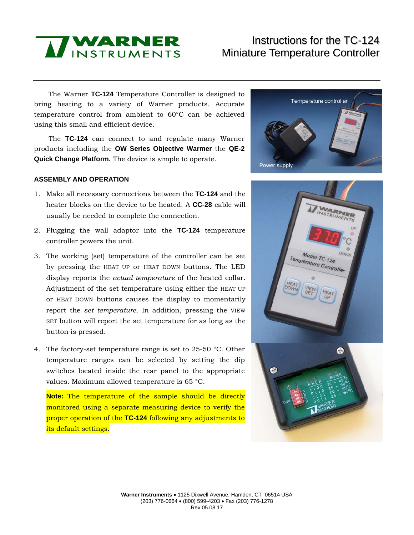

# Instructions for the TC-124 Miniature Temperature Controller

The Warner **TC-124** Temperature Controller is designed to bring heating to a variety of Warner products. Accurate temperature control from ambient to 60°C can be achieved using this small and efficient device.

The **TC-124** can connect to and regulate many Warner products including the **OW Series Objective Warmer** the **QE-2 Quick Change Platform.** The device is simple to operate.

#### **ASSEMBLY AND OPERATION**

- 1. Make all necessary connections between the **TC-124** and the heater blocks on the device to be heated. A **CC-28** cable will usually be needed to complete the connection.
- 2. Plugging the wall adaptor into the **TC-124** temperature controller powers the unit.
- 3. The working (set) temperature of the controller can be set by pressing the HEAT UP or HEAT DOWN buttons. The LED display reports the *actual temperature* of the heated collar. Adjustment of the set temperature using either the HEAT UP or HEAT DOWN buttons causes the display to momentarily report the *set temperature*. In addition, pressing the VIEW SET button will report the set temperature for as long as the button is pressed.
- 4. The factory-set temperature range is set to 25-50 °C. Other temperature ranges can be selected by setting the dip switches located inside the rear panel to the appropriate values. Maximum allowed temperature is 65 °C.

**Note:** The temperature of the sample should be directly monitored using a separate measuring device to verify the proper operation of the **TC-124** following any adjustments to its default settings.



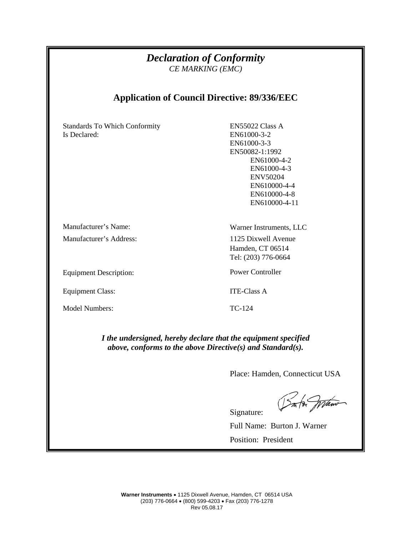### *Declaration of Conformity CE MARKING (EMC)*

## **Application of Council Directive: 89/336/EEC**

Standards To Which Conformity Is Declared:

EN55022 Class A EN61000-3-2 EN61000-3-3 EN50082-1:1992 EN61000-4-2 EN61000-4-3 ENV50204 EN610000-4-4 EN610000-4-8 EN610000-4-11

Manufacturer's Name: Warner Instruments, LLC

Equipment Description: Power Controller

Equipment Class: ITE-Class A

Model Numbers: TC-124

Manufacturer's Address: 1125 Dixwell Avenue Hamden, CT 06514 Tel: (203) 776-0664

Signature:

*I the undersigned, hereby declare that the equipment specified above, conforms to the above Directive(s) and Standard(s).*

Place: Hamden, Connecticut USA

Sm for War

Full Name: Burton J. Warner Position: President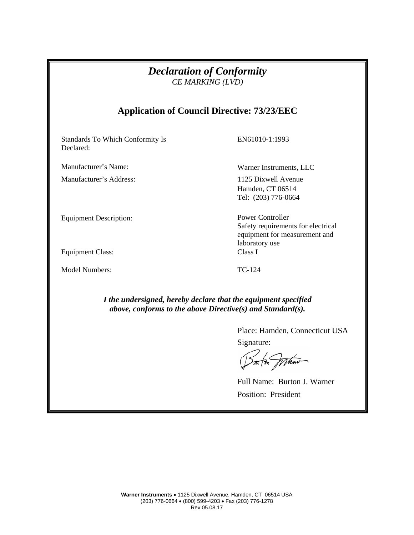| <b>Declaration of Conformity</b><br>CE MARKING (LVD)<br><b>Application of Council Directive: 73/23/EEC</b> |                                                                                                                  |
|------------------------------------------------------------------------------------------------------------|------------------------------------------------------------------------------------------------------------------|
|                                                                                                            |                                                                                                                  |
| Manufacturer's Name:                                                                                       | Warner Instruments, LLC                                                                                          |
| Manufacturer's Address:                                                                                    | 1125 Dixwell Avenue<br>Hamden, CT 06514<br>Tel: (203) 776-0664                                                   |
| <b>Equipment Description:</b>                                                                              | <b>Power Controller</b><br>Safety requirements for electrical<br>equipment for measurement and<br>laboratory use |
| <b>Equipment Class:</b>                                                                                    | Class I                                                                                                          |
| <b>Model Numbers:</b>                                                                                      | TC-124                                                                                                           |

*above, conforms to the above Directive(s) and Standard(s).*

Place: Hamden, Connecticut USA Signature:

m to praw

Full Name: Burton J. Warner Position: President